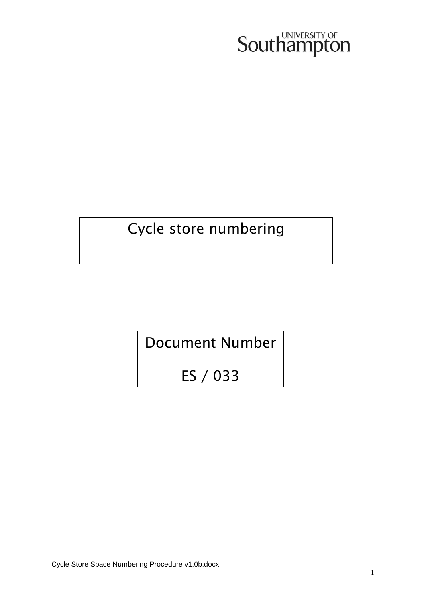# **Southampton**

# Cycle store numbering

Document Number

ES / 033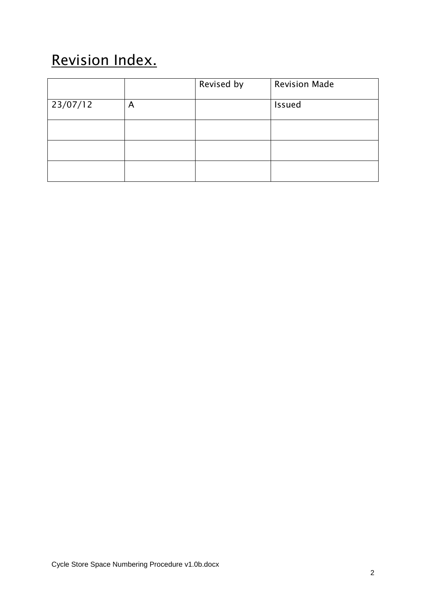# Revision Index.

|          |   | Revised by | <b>Revision Made</b> |
|----------|---|------------|----------------------|
| 23/07/12 | A |            | <b>Issued</b>        |
|          |   |            |                      |
|          |   |            |                      |
|          |   |            |                      |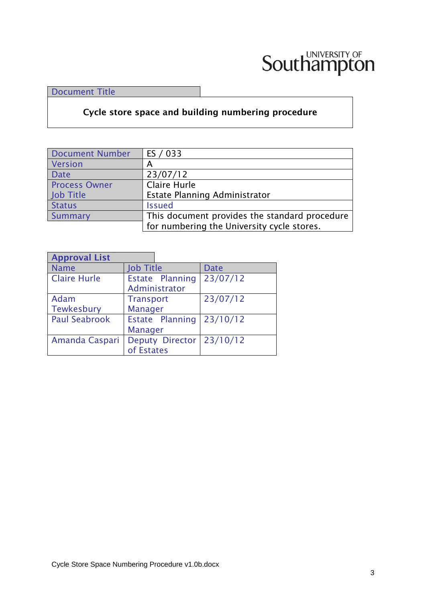

Document Title

**Cycle store space and building numbering procedure** 

| <b>Document Number</b> | ES / 033                                      |
|------------------------|-----------------------------------------------|
| Version                | А                                             |
| <b>Date</b>            | 23/07/12                                      |
| <b>Process Owner</b>   | Claire Hurle                                  |
| Job Title              | Estate Planning Administrator                 |
| <b>Status</b>          | <b>Issued</b>                                 |
| Summary                | This document provides the standard procedure |
|                        | for numbering the University cycle stores.    |

| <b>Approval List</b> |                  |                        |             |
|----------------------|------------------|------------------------|-------------|
| <b>Name</b>          | <b>Job Title</b> |                        | <b>Date</b> |
| <b>Claire Hurle</b>  |                  | Estate Planning        | 23/07/12    |
|                      |                  | Administrator          |             |
| Adam                 | <b>Transport</b> |                        | 23/07/12    |
| Tewkesbury           | <b>Manager</b>   |                        |             |
| <b>Paul Seabrook</b> |                  | Estate Planning        | 23/10/12    |
|                      | <b>Manager</b>   |                        |             |
| Amanda Caspari       |                  | <b>Deputy Director</b> | 23/10/12    |
|                      | of Estates       |                        |             |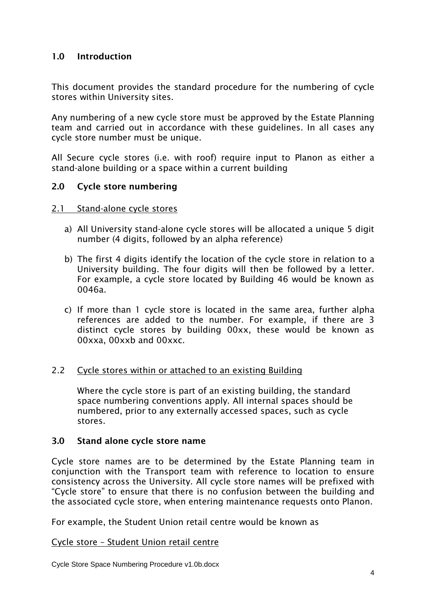# **1.0 Introduction**

This document provides the standard procedure for the numbering of cycle stores within University sites.

Any numbering of a new cycle store must be approved by the Estate Planning team and carried out in accordance with these guidelines. In all cases any cycle store number must be unique.

All Secure cycle stores (i.e. with roof) require input to Planon as either a stand-alone building or a space within a current building

# **2.0 Cycle store numbering**

#### 2.1 Stand-alone cycle stores

- a) All University stand-alone cycle stores will be allocated a unique 5 digit number (4 digits, followed by an alpha reference)
- b) The first 4 digits identify the location of the cycle store in relation to a University building. The four digits will then be followed by a letter. For example, a cycle store located by Building 46 would be known as 0046a.
- c) If more than 1 cycle store is located in the same area, further alpha references are added to the number. For example, if there are 3 distinct cycle stores by building 00xx, these would be known as 00xxa, 00xxb and 00xxc.

#### 2.2 Cycle stores within or attached to an existing Building

Where the cycle store is part of an existing building, the standard space numbering conventions apply. All internal spaces should be numbered, prior to any externally accessed spaces, such as cycle stores.

#### **3.0 Stand alone cycle store name**

Cycle store names are to be determined by the Estate Planning team in conjunction with the Transport team with reference to location to ensure consistency across the University. All cycle store names will be prefixed with "Cycle store" to ensure that there is no confusion between the building and the associated cycle store, when entering maintenance requests onto Planon.

For example, the Student Union retail centre would be known as

#### Cycle store – Student Union retail centre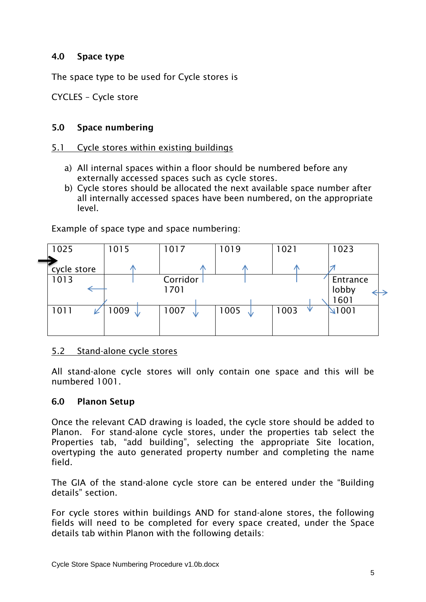# **4.0 Space type**

The space type to be used for Cycle stores is

CYCLES – Cycle store

# **5.0 Space numbering**

## 5.1 Cycle stores within existing buildings

- a) All internal spaces within a floor should be numbered before any externally accessed spaces such as cycle stores.
- b) Cycle stores should be allocated the next available space number after all internally accessed spaces have been numbered, on the appropriate level.

| 1025        | 1015       | 1017             | 1019       | 1021 | 1023                     |
|-------------|------------|------------------|------------|------|--------------------------|
| cycle store | $\sqrt{N}$ | ∕№               |            |      |                          |
| 1013        |            | Corridor<br>1701 |            |      | Entrance<br>lobby<br>601 |
| 1011        | 1009<br>N  | 1007<br>NZ       | 1005<br>NZ | 1003 | $\sqrt{1001}$            |
|             |            |                  |            |      |                          |

Example of space type and space numbering:

# 5.2 Stand-alone cycle stores

All stand-alone cycle stores will only contain one space and this will be numbered 1001.

#### **6.0 Planon Setup**

Once the relevant CAD drawing is loaded, the cycle store should be added to Planon. For stand-alone cycle stores, under the properties tab select the Properties tab, "add building", selecting the appropriate Site location, overtyping the auto generated property number and completing the name field.

The GIA of the stand-alone cycle store can be entered under the "Building details" section.

For cycle stores within buildings AND for stand-alone stores, the following fields will need to be completed for every space created, under the Space details tab within Planon with the following details: